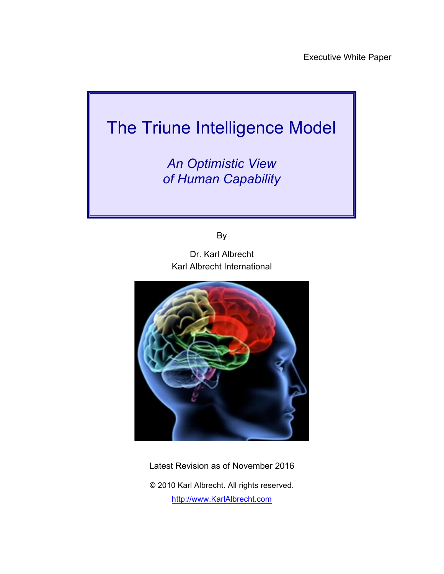# The Triune Intelligence Model

*An Optimistic View of Human Capability*

By

Dr. Karl Albrecht Karl Albrecht International



Latest Revision as of November 2016

© 2010 Karl Albrecht. All rights reserved. http://www.KarlAlbrecht.com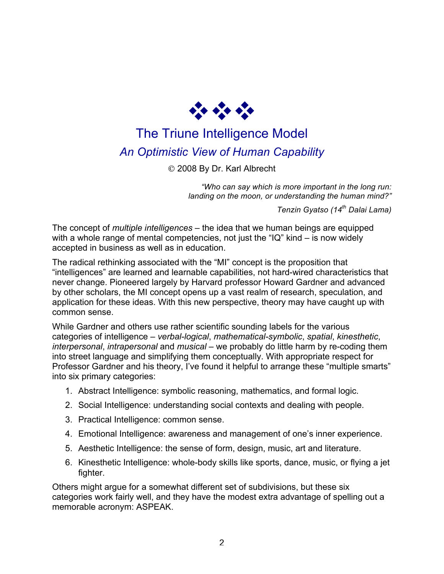

## The Triune Intelligence Model *An Optimistic View of Human Capability*

© 2008 By Dr. Karl Albrecht

*"Who can say which is more important in the long run: landing on the moon, or understanding the human mind?"*

*Tenzin Gyatso (14th Dalai Lama)*

The concept of *multiple intelligences* – the idea that we human beings are equipped with a whole range of mental competencies, not just the "IQ" kind – is now widely accepted in business as well as in education.

The radical rethinking associated with the "MI" concept is the proposition that "intelligences" are learned and learnable capabilities, not hard-wired characteristics that never change. Pioneered largely by Harvard professor Howard Gardner and advanced by other scholars, the MI concept opens up a vast realm of research, speculation, and application for these ideas. With this new perspective, theory may have caught up with common sense.

While Gardner and others use rather scientific sounding labels for the various categories of intelligence – *verbal-logical*, *mathematical-symbolic*, *spatial*, *kinesthetic*, *interpersonal*, *intrapersonal* and *musical* – we probably do little harm by re-coding them into street language and simplifying them conceptually. With appropriate respect for Professor Gardner and his theory, I've found it helpful to arrange these "multiple smarts" into six primary categories:

- 1. Abstract Intelligence: symbolic reasoning, mathematics, and formal logic.
- 2. Social Intelligence: understanding social contexts and dealing with people.
- 3. Practical Intelligence: common sense.
- 4. Emotional Intelligence: awareness and management of one's inner experience.
- 5. Aesthetic Intelligence: the sense of form, design, music, art and literature.
- 6. Kinesthetic Intelligence: whole-body skills like sports, dance, music, or flying a jet fighter.

Others might argue for a somewhat different set of subdivisions, but these six categories work fairly well, and they have the modest extra advantage of spelling out a memorable acronym: ASPEAK.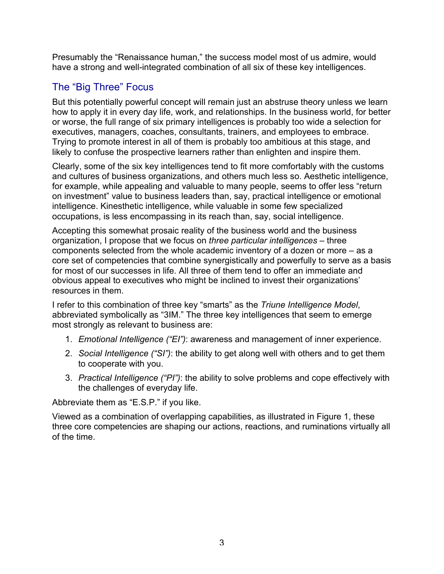Presumably the "Renaissance human," the success model most of us admire, would have a strong and well-integrated combination of all six of these key intelligences.

## The "Big Three" Focus

But this potentially powerful concept will remain just an abstruse theory unless we learn how to apply it in every day life, work, and relationships. In the business world, for better or worse, the full range of six primary intelligences is probably too wide a selection for executives, managers, coaches, consultants, trainers, and employees to embrace. Trying to promote interest in all of them is probably too ambitious at this stage, and likely to confuse the prospective learners rather than enlighten and inspire them.

Clearly, some of the six key intelligences tend to fit more comfortably with the customs and cultures of business organizations, and others much less so. Aesthetic intelligence, for example, while appealing and valuable to many people, seems to offer less "return on investment" value to business leaders than, say, practical intelligence or emotional intelligence. Kinesthetic intelligence, while valuable in some few specialized occupations, is less encompassing in its reach than, say, social intelligence.

Accepting this somewhat prosaic reality of the business world and the business organization, I propose that we focus on *three particular intelligences* – three components selected from the whole academic inventory of a dozen or more – as a core set of competencies that combine synergistically and powerfully to serve as a basis for most of our successes in life. All three of them tend to offer an immediate and obvious appeal to executives who might be inclined to invest their organizations' resources in them.

I refer to this combination of three key "smarts" as the *Triune Intelligence Model*, abbreviated symbolically as "3IM." The three key intelligences that seem to emerge most strongly as relevant to business are:

- 1. *Emotional Intelligence ("EI")*: awareness and management of inner experience.
- 2. *Social Intelligence ("SI")*: the ability to get along well with others and to get them to cooperate with you.
- 3. *Practical Intelligence ("PI")*: the ability to solve problems and cope effectively with the challenges of everyday life.

Abbreviate them as "E.S.P." if you like.

Viewed as a combination of overlapping capabilities, as illustrated in Figure 1, these three core competencies are shaping our actions, reactions, and ruminations virtually all of the time.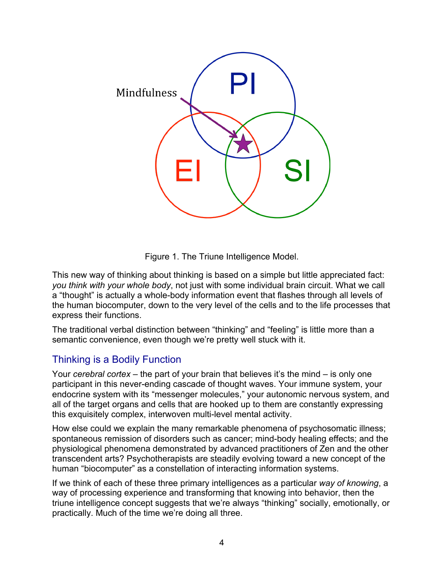

Figure 1. The Triune Intelligence Model.

This new way of thinking about thinking is based on a simple but little appreciated fact: *you think with your whole body*, not just with some individual brain circuit. What we call a "thought" is actually a whole-body information event that flashes through all levels of the human biocomputer, down to the very level of the cells and to the life processes that express their functions.

The traditional verbal distinction between "thinking" and "feeling" is little more than a semantic convenience, even though we're pretty well stuck with it.

## Thinking is a Bodily Function

Your *cerebral cortex* – the part of your brain that believes it's the mind – is only one participant in this never-ending cascade of thought waves. Your immune system, your endocrine system with its "messenger molecules," your autonomic nervous system, and all of the target organs and cells that are hooked up to them are constantly expressing this exquisitely complex, interwoven multi-level mental activity.

How else could we explain the many remarkable phenomena of psychosomatic illness; spontaneous remission of disorders such as cancer; mind-body healing effects; and the physiological phenomena demonstrated by advanced practitioners of Zen and the other transcendent arts? Psychotherapists are steadily evolving toward a new concept of the human "biocomputer" as a constellation of interacting information systems.

If we think of each of these three primary intelligences as a particular *way of knowing*, a way of processing experience and transforming that knowing into behavior, then the triune intelligence concept suggests that we're always "thinking" socially, emotionally, or practically. Much of the time we're doing all three.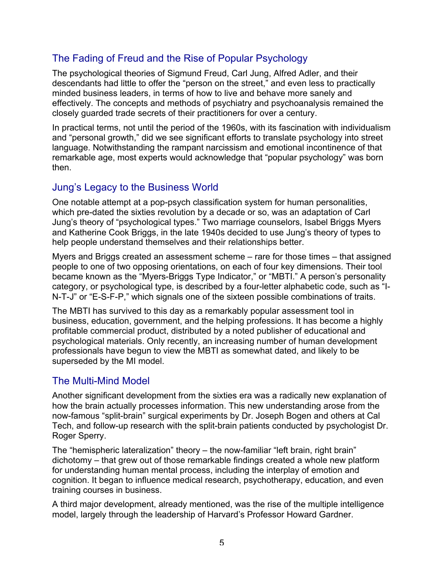## The Fading of Freud and the Rise of Popular Psychology

The psychological theories of Sigmund Freud, Carl Jung, Alfred Adler, and their descendants had little to offer the "person on the street," and even less to practically minded business leaders, in terms of how to live and behave more sanely and effectively. The concepts and methods of psychiatry and psychoanalysis remained the closely guarded trade secrets of their practitioners for over a century.

In practical terms, not until the period of the 1960s, with its fascination with individualism and "personal growth," did we see significant efforts to translate psychology into street language. Notwithstanding the rampant narcissism and emotional incontinence of that remarkable age, most experts would acknowledge that "popular psychology" was born then.

#### Jung's Legacy to the Business World

One notable attempt at a pop-psych classification system for human personalities, which pre-dated the sixties revolution by a decade or so, was an adaptation of Carl Jung's theory of "psychological types." Two marriage counselors, Isabel Briggs Myers and Katherine Cook Briggs, in the late 1940s decided to use Jung's theory of types to help people understand themselves and their relationships better.

Myers and Briggs created an assessment scheme – rare for those times – that assigned people to one of two opposing orientations, on each of four key dimensions. Their tool became known as the "Myers-Briggs Type Indicator," or "MBTI." A person's personality category, or psychological type, is described by a four-letter alphabetic code, such as "I-N-T-J" or "E-S-F-P," which signals one of the sixteen possible combinations of traits.

The MBTI has survived to this day as a remarkably popular assessment tool in business, education, government, and the helping professions. It has become a highly profitable commercial product, distributed by a noted publisher of educational and psychological materials. Only recently, an increasing number of human development professionals have begun to view the MBTI as somewhat dated, and likely to be superseded by the MI model.

#### The Multi-Mind Model

Another significant development from the sixties era was a radically new explanation of how the brain actually processes information. This new understanding arose from the now-famous "split-brain" surgical experiments by Dr. Joseph Bogen and others at Cal Tech, and follow-up research with the split-brain patients conducted by psychologist Dr. Roger Sperry.

The "hemispheric lateralization" theory – the now-familiar "left brain, right brain" dichotomy – that grew out of those remarkable findings created a whole new platform for understanding human mental process, including the interplay of emotion and cognition. It began to influence medical research, psychotherapy, education, and even training courses in business.

A third major development, already mentioned, was the rise of the multiple intelligence model, largely through the leadership of Harvard's Professor Howard Gardner.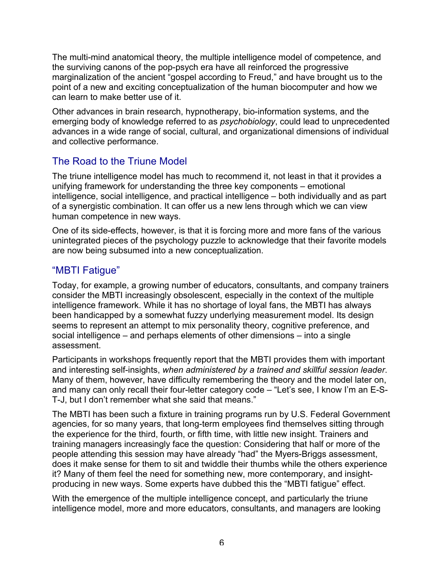The multi-mind anatomical theory, the multiple intelligence model of competence, and the surviving canons of the pop-psych era have all reinforced the progressive marginalization of the ancient "gospel according to Freud," and have brought us to the point of a new and exciting conceptualization of the human biocomputer and how we can learn to make better use of it.

Other advances in brain research, hypnotherapy, bio-information systems, and the emerging body of knowledge referred to as *psychobiology*, could lead to unprecedented advances in a wide range of social, cultural, and organizational dimensions of individual and collective performance.

## The Road to the Triune Model

The triune intelligence model has much to recommend it, not least in that it provides a unifying framework for understanding the three key components – emotional intelligence, social intelligence, and practical intelligence – both individually and as part of a synergistic combination. It can offer us a new lens through which we can view human competence in new ways.

One of its side-effects, however, is that it is forcing more and more fans of the various unintegrated pieces of the psychology puzzle to acknowledge that their favorite models are now being subsumed into a new conceptualization.

#### "MBTI Fatigue"

Today, for example, a growing number of educators, consultants, and company trainers consider the MBTI increasingly obsolescent, especially in the context of the multiple intelligence framework. While it has no shortage of loyal fans, the MBTI has always been handicapped by a somewhat fuzzy underlying measurement model. Its design seems to represent an attempt to mix personality theory, cognitive preference, and social intelligence – and perhaps elements of other dimensions – into a single assessment.

Participants in workshops frequently report that the MBTI provides them with important and interesting self-insights, *when administered by a trained and skillful session leader*. Many of them, however, have difficulty remembering the theory and the model later on, and many can only recall their four-letter category code – "Let's see, I know I'm an E-S-T-J, but I don't remember what she said that means."

The MBTI has been such a fixture in training programs run by U.S. Federal Government agencies, for so many years, that long-term employees find themselves sitting through the experience for the third, fourth, or fifth time, with little new insight. Trainers and training managers increasingly face the question: Considering that half or more of the people attending this session may have already "had" the Myers-Briggs assessment, does it make sense for them to sit and twiddle their thumbs while the others experience it? Many of them feel the need for something new, more contemporary, and insightproducing in new ways. Some experts have dubbed this the "MBTI fatigue" effect.

With the emergence of the multiple intelligence concept, and particularly the triune intelligence model, more and more educators, consultants, and managers are looking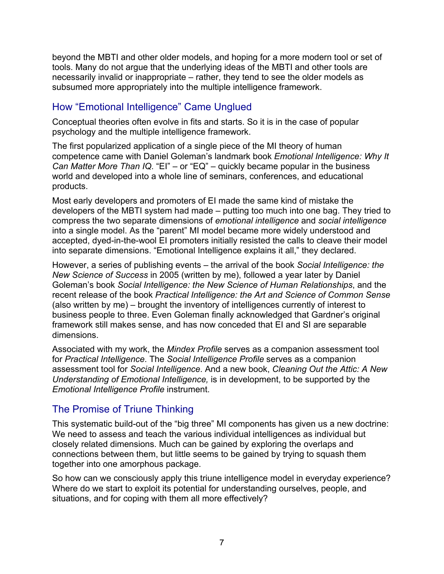beyond the MBTI and other older models, and hoping for a more modern tool or set of tools. Many do not argue that the underlying ideas of the MBTI and other tools are necessarily invalid or inappropriate – rather, they tend to see the older models as subsumed more appropriately into the multiple intelligence framework.

## How "Emotional Intelligence" Came Unglued

Conceptual theories often evolve in fits and starts. So it is in the case of popular psychology and the multiple intelligence framework.

The first popularized application of a single piece of the MI theory of human competence came with Daniel Goleman's landmark book *Emotional Intelligence: Why It Can Matter More Than IQ*. "EI" – or "EQ" – quickly became popular in the business world and developed into a whole line of seminars, conferences, and educational products.

Most early developers and promoters of EI made the same kind of mistake the developers of the MBTI system had made – putting too much into one bag. They tried to compress the two separate dimensions of *emotional intelligence* and *social intelligence* into a single model. As the "parent" MI model became more widely understood and accepted, dyed-in-the-wool EI promoters initially resisted the calls to cleave their model into separate dimensions. "Emotional Intelligence explains it all," they declared.

However, a series of publishing events – the arrival of the book *Social Intelligence: the New Science of Success* in 2005 (written by me), followed a year later by Daniel Goleman's book *Social Intelligence: the New Science of Human Relationships*, and the recent release of the book *Practical Intelligence: the Art and Science of Common Sense* (also written by me) – brought the inventory of intelligences currently of interest to business people to three. Even Goleman finally acknowledged that Gardner's original framework still makes sense, and has now conceded that EI and SI are separable dimensions.

Associated with my work, the *Mindex Profile* serves as a companion assessment tool for *Practical Intelligence*. The *Social Intelligence Profile* serves as a companion assessment tool for *Social Intelligence*. And a new book, *Cleaning Out the Attic: A New Understanding of Emotional Intelligence,* is in development, to be supported by the *Emotional Intelligence Profile* instrument.

#### The Promise of Triune Thinking

This systematic build-out of the "big three" MI components has given us a new doctrine: We need to assess and teach the various individual intelligences as individual but closely related dimensions. Much can be gained by exploring the overlaps and connections between them, but little seems to be gained by trying to squash them together into one amorphous package.

So how can we consciously apply this triune intelligence model in everyday experience? Where do we start to exploit its potential for understanding ourselves, people, and situations, and for coping with them all more effectively?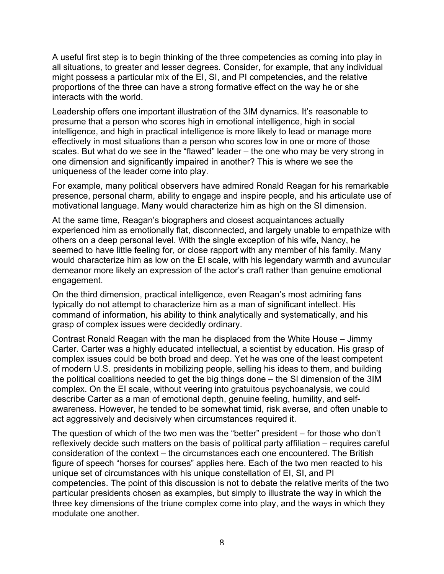A useful first step is to begin thinking of the three competencies as coming into play in all situations, to greater and lesser degrees. Consider, for example, that any individual might possess a particular mix of the EI, SI, and PI competencies, and the relative proportions of the three can have a strong formative effect on the way he or she interacts with the world.

Leadership offers one important illustration of the 3IM dynamics. It's reasonable to presume that a person who scores high in emotional intelligence, high in social intelligence, and high in practical intelligence is more likely to lead or manage more effectively in most situations than a person who scores low in one or more of those scales. But what do we see in the "flawed" leader – the one who may be very strong in one dimension and significantly impaired in another? This is where we see the uniqueness of the leader come into play.

For example, many political observers have admired Ronald Reagan for his remarkable presence, personal charm, ability to engage and inspire people, and his articulate use of motivational language. Many would characterize him as high on the SI dimension.

At the same time, Reagan's biographers and closest acquaintances actually experienced him as emotionally flat, disconnected, and largely unable to empathize with others on a deep personal level. With the single exception of his wife, Nancy, he seemed to have little feeling for, or close rapport with any member of his family. Many would characterize him as low on the EI scale, with his legendary warmth and avuncular demeanor more likely an expression of the actor's craft rather than genuine emotional engagement.

On the third dimension, practical intelligence, even Reagan's most admiring fans typically do not attempt to characterize him as a man of significant intellect. His command of information, his ability to think analytically and systematically, and his grasp of complex issues were decidedly ordinary.

Contrast Ronald Reagan with the man he displaced from the White House – Jimmy Carter. Carter was a highly educated intellectual, a scientist by education. His grasp of complex issues could be both broad and deep. Yet he was one of the least competent of modern U.S. presidents in mobilizing people, selling his ideas to them, and building the political coalitions needed to get the big things done – the SI dimension of the 3IM complex. On the EI scale, without veering into gratuitous psychoanalysis, we could describe Carter as a man of emotional depth, genuine feeling, humility, and selfawareness. However, he tended to be somewhat timid, risk averse, and often unable to act aggressively and decisively when circumstances required it.

The question of which of the two men was the "better" president – for those who don't reflexively decide such matters on the basis of political party affiliation – requires careful consideration of the context – the circumstances each one encountered. The British figure of speech "horses for courses" applies here. Each of the two men reacted to his unique set of circumstances with his unique constellation of EI, SI, and PI competencies. The point of this discussion is not to debate the relative merits of the two particular presidents chosen as examples, but simply to illustrate the way in which the three key dimensions of the triune complex come into play, and the ways in which they modulate one another.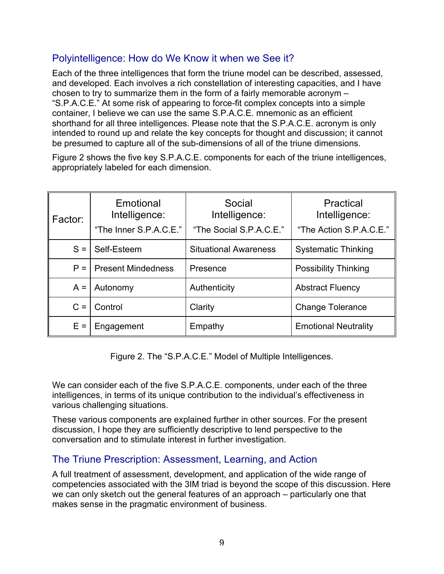### Polyintelligence: How do We Know it when we See it?

Each of the three intelligences that form the triune model can be described, assessed, and developed. Each involves a rich constellation of interesting capacities, and I have chosen to try to summarize them in the form of a fairly memorable acronym – "S.P.A.C.E." At some risk of appearing to force-fit complex concepts into a simple container, I believe we can use the same S.P.A.C.E. mnemonic as an efficient shorthand for all three intelligences. Please note that the S.P.A.C.E. acronym is only intended to round up and relate the key concepts for thought and discussion; it cannot be presumed to capture all of the sub-dimensions of all of the triune dimensions.

Figure 2 shows the five key S.P.A.C.E. components for each of the triune intelligences, appropriately labeled for each dimension.

| l Factor: | Emotional<br>Intelligence:<br>"The Inner S.P.A.C.E." | Social<br>Intelligence:<br>"The Social S.P.A.C.E." | Practical<br>Intelligence:<br>"The Action S.P.A.C.E." |
|-----------|------------------------------------------------------|----------------------------------------------------|-------------------------------------------------------|
| $S =$     | Self-Esteem                                          | <b>Situational Awareness</b>                       | <b>Systematic Thinking</b>                            |
| $P =$     | <b>Present Mindedness</b>                            | Presence                                           | <b>Possibility Thinking</b>                           |
| $A =$     | Autonomy                                             | Authenticity                                       | <b>Abstract Fluency</b>                               |
| $C =$     | Control                                              | Clarity                                            | <b>Change Tolerance</b>                               |
| $E =$     | Engagement                                           | Empathy                                            | <b>Emotional Neutrality</b>                           |

Figure 2. The "S.P.A.C.E." Model of Multiple Intelligences.

We can consider each of the five S.P.A.C.E. components, under each of the three intelligences, in terms of its unique contribution to the individual's effectiveness in various challenging situations.

These various components are explained further in other sources. For the present discussion, I hope they are sufficiently descriptive to lend perspective to the conversation and to stimulate interest in further investigation.

#### The Triune Prescription: Assessment, Learning, and Action

A full treatment of assessment, development, and application of the wide range of competencies associated with the 3IM triad is beyond the scope of this discussion. Here we can only sketch out the general features of an approach – particularly one that makes sense in the pragmatic environment of business.